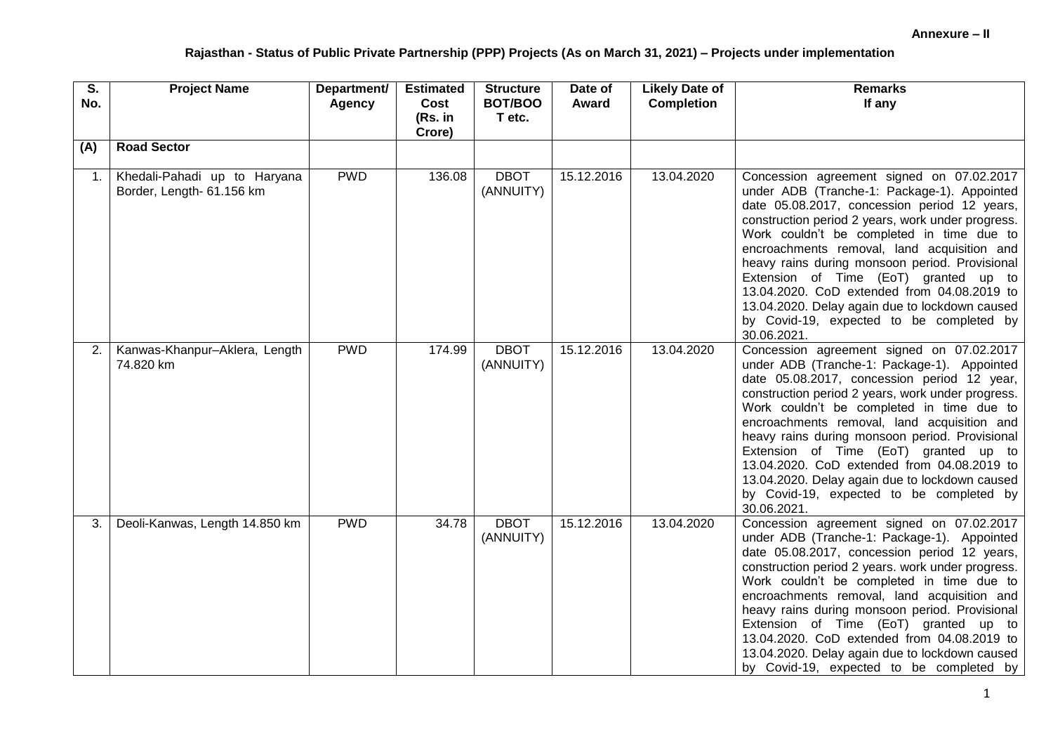| S.<br>No.      | <b>Project Name</b>                                       | Department/<br>Agency | <b>Estimated</b><br>Cost<br>(Rs. in<br>Crore) | <b>Structure</b><br>BOT/BOO<br>T etc. | Date of<br>Award | <b>Likely Date of</b><br><b>Completion</b> | <b>Remarks</b><br>If any                                                                                                                                                                                                                                                                                                                                                                                                                                                                                                                         |
|----------------|-----------------------------------------------------------|-----------------------|-----------------------------------------------|---------------------------------------|------------------|--------------------------------------------|--------------------------------------------------------------------------------------------------------------------------------------------------------------------------------------------------------------------------------------------------------------------------------------------------------------------------------------------------------------------------------------------------------------------------------------------------------------------------------------------------------------------------------------------------|
| (A)            | <b>Road Sector</b>                                        |                       |                                               |                                       |                  |                                            |                                                                                                                                                                                                                                                                                                                                                                                                                                                                                                                                                  |
| $\mathbf{1}$ . | Khedali-Pahadi up to Haryana<br>Border, Length- 61.156 km | <b>PWD</b>            | 136.08                                        | <b>DBOT</b><br>(ANNUITY)              | 15.12.2016       | 13.04.2020                                 | Concession agreement signed on 07.02.2017<br>under ADB (Tranche-1: Package-1). Appointed<br>date 05.08.2017, concession period 12 years,<br>construction period 2 years, work under progress.<br>Work couldn't be completed in time due to<br>encroachments removal, land acquisition and<br>heavy rains during monsoon period. Provisional<br>Extension of Time (EoT) granted up to<br>13.04.2020. CoD extended from 04.08.2019 to<br>13.04.2020. Delay again due to lockdown caused<br>by Covid-19, expected to be completed by<br>30.06.2021. |
| 2.             | Kanwas-Khanpur-Aklera, Length<br>74.820 km                | <b>PWD</b>            | 174.99                                        | <b>DBOT</b><br>(ANNUITY)              | 15.12.2016       | 13.04.2020                                 | Concession agreement signed on 07.02.2017<br>under ADB (Tranche-1: Package-1). Appointed<br>date 05.08.2017, concession period 12 year,<br>construction period 2 years, work under progress.<br>Work couldn't be completed in time due to<br>encroachments removal, land acquisition and<br>heavy rains during monsoon period. Provisional<br>Extension of Time (EoT) granted up to<br>13.04.2020. CoD extended from 04.08.2019 to<br>13.04.2020. Delay again due to lockdown caused<br>by Covid-19, expected to be completed by<br>30.06.2021.  |
| 3.             | Deoli-Kanwas, Length 14.850 km                            | <b>PWD</b>            | 34.78                                         | <b>DBOT</b><br>(ANNUITY)              | 15.12.2016       | 13.04.2020                                 | Concession agreement signed on 07.02.2017<br>under ADB (Tranche-1: Package-1). Appointed<br>date 05.08.2017, concession period 12 years,<br>construction period 2 years. work under progress.<br>Work couldn't be completed in time due to<br>encroachments removal, land acquisition and<br>heavy rains during monsoon period. Provisional<br>Extension of Time (EoT) granted up to<br>13.04.2020. CoD extended from 04.08.2019 to<br>13.04.2020. Delay again due to lockdown caused<br>by Covid-19, expected to be completed by                |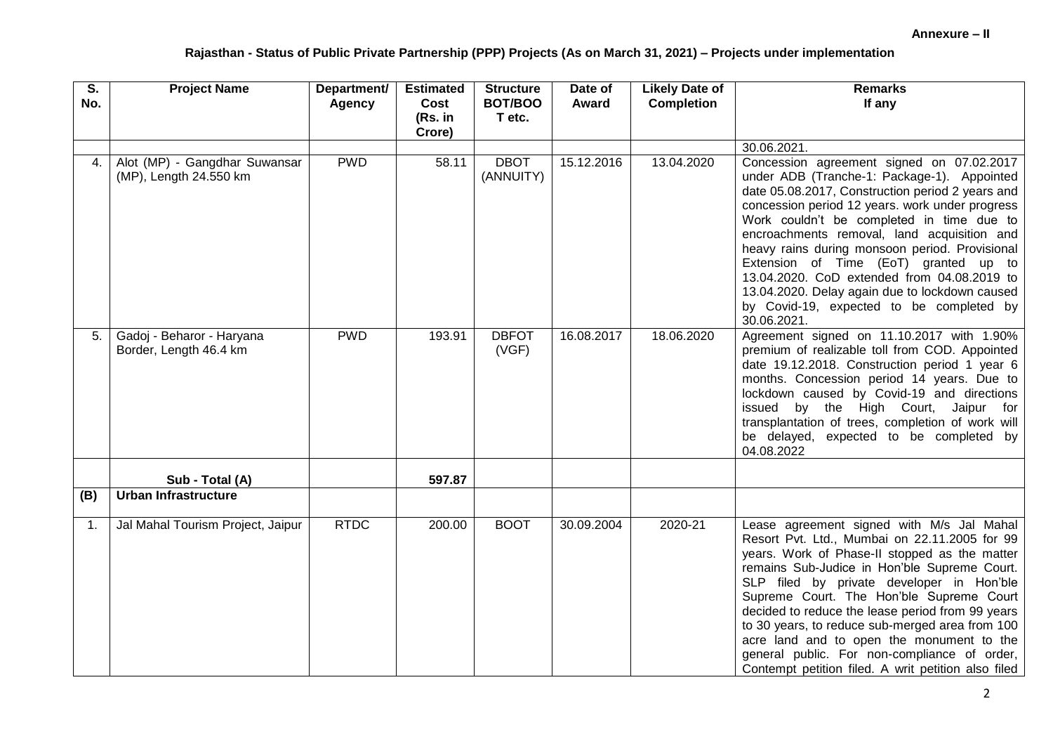| $\overline{\mathsf{S}}$ .<br>No. | <b>Project Name</b>                                     | Department/<br><b>Agency</b> | <b>Estimated</b><br>Cost<br>(Rs. in<br>Crore) | <b>Structure</b><br>BOT/BOO<br>T etc. | Date of<br>Award | <b>Likely Date of</b><br><b>Completion</b> | <b>Remarks</b><br>If any                                                                                                                                                                                                                                                                                                                                                                                                                                                                                                                           |
|----------------------------------|---------------------------------------------------------|------------------------------|-----------------------------------------------|---------------------------------------|------------------|--------------------------------------------|----------------------------------------------------------------------------------------------------------------------------------------------------------------------------------------------------------------------------------------------------------------------------------------------------------------------------------------------------------------------------------------------------------------------------------------------------------------------------------------------------------------------------------------------------|
|                                  |                                                         |                              |                                               |                                       |                  |                                            | 30.06.2021.                                                                                                                                                                                                                                                                                                                                                                                                                                                                                                                                        |
| 4.                               | Alot (MP) - Gangdhar Suwansar<br>(MP), Length 24.550 km | <b>PWD</b>                   | 58.11                                         | <b>DBOT</b><br>(ANNUITY)              | 15.12.2016       | 13.04.2020                                 | Concession agreement signed on 07.02.2017<br>under ADB (Tranche-1: Package-1). Appointed<br>date 05.08.2017, Construction period 2 years and<br>concession period 12 years. work under progress<br>Work couldn't be completed in time due to<br>encroachments removal, land acquisition and<br>heavy rains during monsoon period. Provisional<br>Extension of Time (EoT) granted up to<br>13.04.2020. CoD extended from 04.08.2019 to<br>13.04.2020. Delay again due to lockdown caused<br>by Covid-19, expected to be completed by<br>30.06.2021. |
| 5.                               | Gadoj - Beharor - Haryana<br>Border, Length 46.4 km     | <b>PWD</b>                   | 193.91                                        | <b>DBFOT</b><br>(VGF)                 | 16.08.2017       | 18.06.2020                                 | Agreement signed on 11.10.2017 with 1.90%<br>premium of realizable toll from COD. Appointed<br>date 19.12.2018. Construction period 1 year 6<br>months. Concession period 14 years. Due to<br>lockdown caused by Covid-19 and directions<br>issued by the High Court, Jaipur for<br>transplantation of trees, completion of work will<br>be delayed, expected to be completed by<br>04.08.2022                                                                                                                                                     |
|                                  | Sub - Total (A)                                         |                              | 597.87                                        |                                       |                  |                                            |                                                                                                                                                                                                                                                                                                                                                                                                                                                                                                                                                    |
| (B)                              | <b>Urban Infrastructure</b>                             |                              |                                               |                                       |                  |                                            |                                                                                                                                                                                                                                                                                                                                                                                                                                                                                                                                                    |
|                                  |                                                         |                              |                                               |                                       |                  |                                            |                                                                                                                                                                                                                                                                                                                                                                                                                                                                                                                                                    |
| $\mathbf{1}$ .                   | Jal Mahal Tourism Project, Jaipur                       | <b>RTDC</b>                  | 200.00                                        | <b>BOOT</b>                           | 30.09.2004       | 2020-21                                    | Lease agreement signed with M/s Jal Mahal<br>Resort Pvt. Ltd., Mumbai on 22.11.2005 for 99<br>years. Work of Phase-II stopped as the matter<br>remains Sub-Judice in Hon'ble Supreme Court.<br>SLP filed by private developer in Hon'ble<br>Supreme Court. The Hon'ble Supreme Court<br>decided to reduce the lease period from 99 years<br>to 30 years, to reduce sub-merged area from 100<br>acre land and to open the monument to the<br>general public. For non-compliance of order,<br>Contempt petition filed. A writ petition also filed    |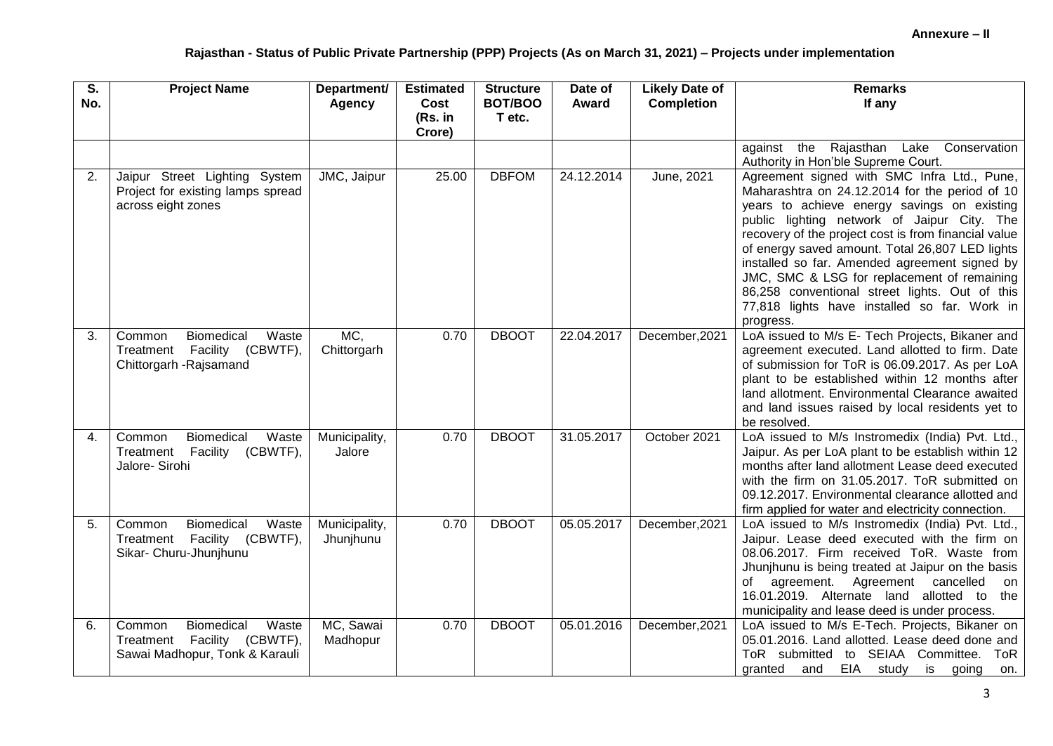| $\overline{\mathsf{s}}$ .<br>No. | <b>Project Name</b>                                                                                   | Department/<br><b>Agency</b> | <b>Estimated</b><br>Cost<br>(Rs. in<br>Crore) | <b>Structure</b><br>BOT/BOO<br>T etc. | Date of<br>Award | <b>Likely Date of</b><br><b>Completion</b> | <b>Remarks</b><br>If any                                                                                                                                                                                                                                                                                                                                                                                                                                                                                              |
|----------------------------------|-------------------------------------------------------------------------------------------------------|------------------------------|-----------------------------------------------|---------------------------------------|------------------|--------------------------------------------|-----------------------------------------------------------------------------------------------------------------------------------------------------------------------------------------------------------------------------------------------------------------------------------------------------------------------------------------------------------------------------------------------------------------------------------------------------------------------------------------------------------------------|
|                                  |                                                                                                       |                              |                                               |                                       |                  |                                            | Rajasthan<br>Lake<br>Conservation<br>the<br>against<br>Authority in Hon'ble Supreme Court.                                                                                                                                                                                                                                                                                                                                                                                                                            |
| 2.                               | Jaipur Street Lighting System<br>Project for existing lamps spread<br>across eight zones              | JMC, Jaipur                  | 25.00                                         | <b>DBFOM</b>                          | 24.12.2014       | June, 2021                                 | Agreement signed with SMC Infra Ltd., Pune,<br>Maharashtra on 24.12.2014 for the period of 10<br>years to achieve energy savings on existing<br>public lighting network of Jaipur City. The<br>recovery of the project cost is from financial value<br>of energy saved amount. Total 26,807 LED lights<br>installed so far. Amended agreement signed by<br>JMC, SMC & LSG for replacement of remaining<br>86,258 conventional street lights. Out of this<br>77,818 lights have installed so far. Work in<br>progress. |
| 3.                               | <b>Biomedical</b><br>Waste<br>Common<br>Facility (CBWTF),<br>Treatment<br>Chittorgarh - Rajsamand     | MC,<br>Chittorgarh           | 0.70                                          | <b>DBOOT</b>                          | 22.04.2017       | December, 2021                             | LoA issued to M/s E- Tech Projects, Bikaner and<br>agreement executed. Land allotted to firm. Date<br>of submission for ToR is 06.09.2017. As per LoA<br>plant to be established within 12 months after<br>land allotment. Environmental Clearance awaited<br>and land issues raised by local residents yet to<br>be resolved.                                                                                                                                                                                        |
| 4.                               | Biomedical<br>Waste<br>Common<br>Treatment<br>Facility<br>(CBWTF),<br>Jalore- Sirohi                  | Municipality,<br>Jalore      | 0.70                                          | <b>DBOOT</b>                          | 31.05.2017       | October 2021                               | LoA issued to M/s Instromedix (India) Pvt. Ltd.,<br>Jaipur. As per LoA plant to be establish within 12<br>months after land allotment Lease deed executed<br>with the firm on 31.05.2017. ToR submitted on<br>09.12.2017. Environmental clearance allotted and<br>firm applied for water and electricity connection.                                                                                                                                                                                                  |
| 5.                               | Biomedical<br>Waste<br>Common<br>Treatment Facility (CBWTF),<br>Sikar- Churu-Jhunjhunu                | Municipality,<br>Jhunjhunu   | 0.70                                          | <b>DBOOT</b>                          | 05.05.2017       | December, 2021                             | LoA issued to M/s Instromedix (India) Pvt. Ltd.,<br>Jaipur. Lease deed executed with the firm on<br>08.06.2017. Firm received ToR. Waste from<br>Jhunjhunu is being treated at Jaipur on the basis<br>agreement. Agreement cancelled<br>of<br>on<br>16.01.2019. Alternate land allotted to<br>the<br>municipality and lease deed is under process.                                                                                                                                                                    |
| 6.                               | Waste<br><b>Biomedical</b><br>Common<br>Treatment Facility (CBWTF),<br>Sawai Madhopur, Tonk & Karauli | MC, Sawai<br>Madhopur        | 0.70                                          | <b>DBOOT</b>                          | 05.01.2016       | December, 2021                             | LoA issued to M/s E-Tech. Projects, Bikaner on<br>05.01.2016. Land allotted. Lease deed done and<br>ToR submitted to SEIAA Committee.<br>ToR<br>EIA study<br>is going<br>granted<br>and<br>on.                                                                                                                                                                                                                                                                                                                        |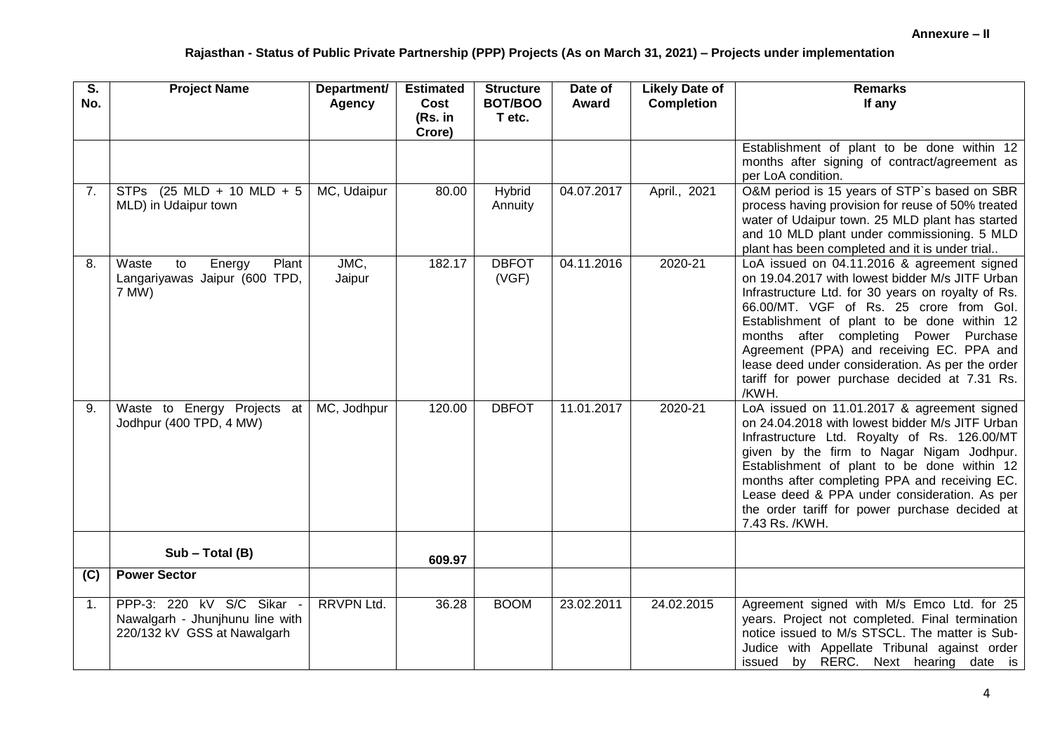| $\overline{\mathsf{s}}$ .<br>No. | <b>Project Name</b>                                                                         | Department/<br><b>Agency</b> | <b>Estimated</b><br>Cost<br>(Rs. in | <b>Structure</b><br>BOT/BOO<br>T etc. | Date of<br>Award | <b>Likely Date of</b><br><b>Completion</b> | <b>Remarks</b><br>If any                                                                                                                                                                                                                                                                                                                                                                                                                            |
|----------------------------------|---------------------------------------------------------------------------------------------|------------------------------|-------------------------------------|---------------------------------------|------------------|--------------------------------------------|-----------------------------------------------------------------------------------------------------------------------------------------------------------------------------------------------------------------------------------------------------------------------------------------------------------------------------------------------------------------------------------------------------------------------------------------------------|
|                                  |                                                                                             |                              | Crore)                              |                                       |                  |                                            |                                                                                                                                                                                                                                                                                                                                                                                                                                                     |
|                                  |                                                                                             |                              |                                     |                                       |                  |                                            | Establishment of plant to be done within 12<br>months after signing of contract/agreement as<br>per LoA condition.                                                                                                                                                                                                                                                                                                                                  |
| 7.                               | STPs (25 MLD + 10 MLD + 5<br>MLD) in Udaipur town                                           | MC, Udaipur                  | 80.00                               | Hybrid<br>Annuity                     | 04.07.2017       | April., 2021                               | O&M period is 15 years of STP's based on SBR<br>process having provision for reuse of 50% treated<br>water of Udaipur town. 25 MLD plant has started<br>and 10 MLD plant under commissioning. 5 MLD<br>plant has been completed and it is under trial                                                                                                                                                                                               |
| 8.                               | Plant<br>to<br>Energy<br>Waste<br>Langariyawas Jaipur (600 TPD,<br>7 MW)                    | JMC,<br>Jaipur               | 182.17                              | <b>DBFOT</b><br>(VGF)                 | 04.11.2016       | 2020-21                                    | LoA issued on 04.11.2016 & agreement signed<br>on 19.04.2017 with lowest bidder M/s JITF Urban<br>Infrastructure Ltd. for 30 years on royalty of Rs.<br>66.00/MT. VGF of Rs. 25 crore from Gol.<br>Establishment of plant to be done within 12<br>months after completing Power Purchase<br>Agreement (PPA) and receiving EC. PPA and<br>lease deed under consideration. As per the order<br>tariff for power purchase decided at 7.31 Rs.<br>/KWH. |
| 9.                               | Waste to Energy Projects at<br>Jodhpur (400 TPD, 4 MW)                                      | MC, Jodhpur                  | 120.00                              | <b>DBFOT</b>                          | 11.01.2017       | 2020-21                                    | LoA issued on 11.01.2017 & agreement signed<br>on 24.04.2018 with lowest bidder M/s JITF Urban<br>Infrastructure Ltd. Royalty of Rs. 126.00/MT<br>given by the firm to Nagar Nigam Jodhpur.<br>Establishment of plant to be done within 12<br>months after completing PPA and receiving EC.<br>Lease deed & PPA under consideration. As per<br>the order tariff for power purchase decided at<br>7.43 Rs. /KWH.                                     |
|                                  | $Sub - Total (B)$                                                                           |                              | 609.97                              |                                       |                  |                                            |                                                                                                                                                                                                                                                                                                                                                                                                                                                     |
| (C)                              | <b>Power Sector</b>                                                                         |                              |                                     |                                       |                  |                                            |                                                                                                                                                                                                                                                                                                                                                                                                                                                     |
| $\mathbf{1}$ .                   | PPP-3: 220 kV S/C Sikar -<br>Nawalgarh - Jhunjhunu line with<br>220/132 kV GSS at Nawalgarh | <b>RRVPN Ltd.</b>            | 36.28                               | <b>BOOM</b>                           | 23.02.2011       | 24.02.2015                                 | Agreement signed with M/s Emco Ltd. for 25<br>years. Project not completed. Final termination<br>notice issued to M/s STSCL. The matter is Sub-<br>Judice with Appellate Tribunal against order<br>issued by RERC. Next hearing date is                                                                                                                                                                                                             |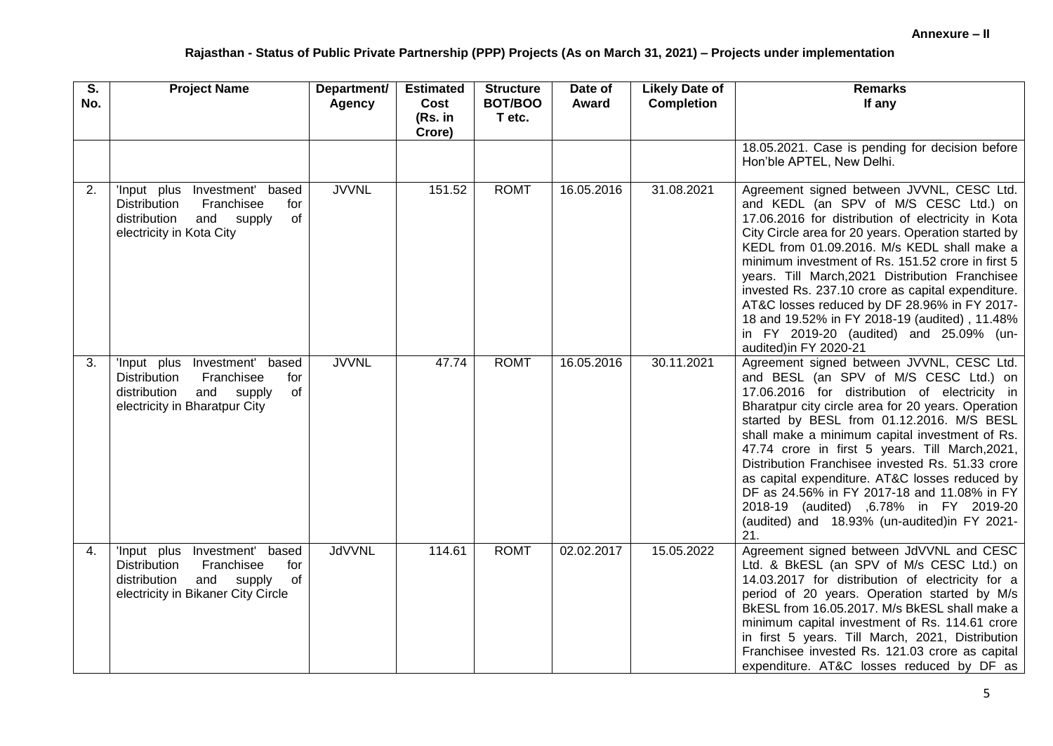| $\overline{\mathsf{s}}$ .<br>No. | <b>Project Name</b>                                                                                                                                       | Department/<br>Agency | <b>Estimated</b><br>Cost<br>(Rs. in<br>Crore) | <b>Structure</b><br>BOT/BOO<br>T etc. | Date of<br>Award | <b>Likely Date of</b><br><b>Completion</b> | <b>Remarks</b><br>If any                                                                                                                                                                                                                                                                                                                                                                                                                                                                                                                                                                           |
|----------------------------------|-----------------------------------------------------------------------------------------------------------------------------------------------------------|-----------------------|-----------------------------------------------|---------------------------------------|------------------|--------------------------------------------|----------------------------------------------------------------------------------------------------------------------------------------------------------------------------------------------------------------------------------------------------------------------------------------------------------------------------------------------------------------------------------------------------------------------------------------------------------------------------------------------------------------------------------------------------------------------------------------------------|
|                                  |                                                                                                                                                           |                       |                                               |                                       |                  |                                            | 18.05.2021. Case is pending for decision before<br>Hon'ble APTEL, New Delhi.                                                                                                                                                                                                                                                                                                                                                                                                                                                                                                                       |
| 2.                               | Investment' based<br>'Input plus<br><b>Distribution</b><br>Franchisee<br>for<br>distribution<br>and supply<br>of<br>electricity in Kota City              | <b>JVVNL</b>          | 151.52                                        | <b>ROMT</b>                           | 16.05.2016       | 31.08.2021                                 | Agreement signed between JVVNL, CESC Ltd.<br>and KEDL (an SPV of M/S CESC Ltd.) on<br>17.06.2016 for distribution of electricity in Kota<br>City Circle area for 20 years. Operation started by<br>KEDL from 01.09.2016. M/s KEDL shall make a<br>minimum investment of Rs. 151.52 crore in first 5<br>years. Till March, 2021 Distribution Franchisee<br>invested Rs. 237.10 crore as capital expenditure.<br>AT&C losses reduced by DF 28.96% in FY 2017-<br>18 and 19.52% in FY 2018-19 (audited), 11.48%<br>in FY 2019-20 (audited) and 25.09% (un-<br>audited)in FY 2020-21                   |
| 3.                               | Investment' based<br>'Input plus<br><b>Distribution</b><br>Franchisee<br>for<br>and supply<br>distribution<br>of<br>electricity in Bharatpur City         | <b>JVVNL</b>          | 47.74                                         | <b>ROMT</b>                           | 16.05.2016       | 30.11.2021                                 | Agreement signed between JVVNL, CESC Ltd.<br>and BESL (an SPV of M/S CESC Ltd.) on<br>17.06.2016 for distribution of electricity in<br>Bharatpur city circle area for 20 years. Operation<br>started by BESL from 01.12.2016. M/S BESL<br>shall make a minimum capital investment of Rs.<br>47.74 crore in first 5 years. Till March, 2021,<br>Distribution Franchisee invested Rs. 51.33 crore<br>as capital expenditure. AT&C losses reduced by<br>DF as 24.56% in FY 2017-18 and 11.08% in FY<br>2018-19 (audited) ,6.78% in FY 2019-20<br>(audited) and 18.93% (un-audited) in FY 2021-<br>21. |
| 4.                               | Investment' based<br>'Input plus<br>Franchisee<br><b>Distribution</b><br>for<br>and<br>supply<br>of<br>distribution<br>electricity in Bikaner City Circle | <b>JdVVNL</b>         | 114.61                                        | <b>ROMT</b>                           | 02.02.2017       | 15.05.2022                                 | Agreement signed between JdVVNL and CESC<br>Ltd. & BkESL (an SPV of M/s CESC Ltd.) on<br>14.03.2017 for distribution of electricity for a<br>period of 20 years. Operation started by M/s<br>BkESL from 16.05.2017. M/s BkESL shall make a<br>minimum capital investment of Rs. 114.61 crore<br>in first 5 years. Till March, 2021, Distribution<br>Franchisee invested Rs. 121.03 crore as capital<br>expenditure. AT&C losses reduced by DF as                                                                                                                                                   |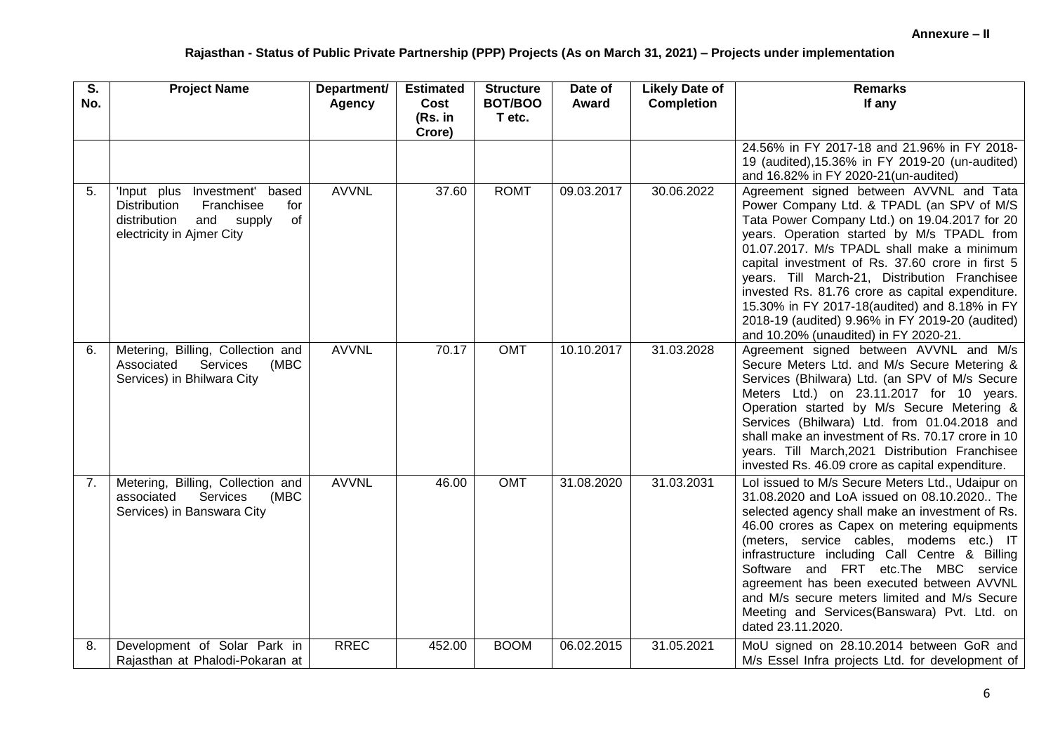| $\overline{\mathsf{s}}$ .<br>No. | <b>Project Name</b>                                                                                                                           | Department/   | <b>Estimated</b>          | <b>Structure</b><br>BOT/BOO | Date of      | <b>Likely Date of</b> | <b>Remarks</b>                                                                                                                                                                                                                                                                                                                                                                                                                                                                                                                          |
|----------------------------------|-----------------------------------------------------------------------------------------------------------------------------------------------|---------------|---------------------------|-----------------------------|--------------|-----------------------|-----------------------------------------------------------------------------------------------------------------------------------------------------------------------------------------------------------------------------------------------------------------------------------------------------------------------------------------------------------------------------------------------------------------------------------------------------------------------------------------------------------------------------------------|
|                                  |                                                                                                                                               | <b>Agency</b> | Cost<br>(Rs. in<br>Crore) | T etc.                      | <b>Award</b> | <b>Completion</b>     | If any                                                                                                                                                                                                                                                                                                                                                                                                                                                                                                                                  |
|                                  |                                                                                                                                               |               |                           |                             |              |                       | 24.56% in FY 2017-18 and 21.96% in FY 2018-<br>19 (audited), 15.36% in FY 2019-20 (un-audited)<br>and 16.82% in FY 2020-21(un-audited)                                                                                                                                                                                                                                                                                                                                                                                                  |
| 5.                               | Investment' based<br>'Input plus<br><b>Distribution</b><br>Franchisee<br>for<br>of<br>distribution<br>and supply<br>electricity in Ajmer City | <b>AVVNL</b>  | 37.60                     | <b>ROMT</b>                 | 09.03.2017   | 30.06.2022            | Agreement signed between AVVNL and Tata<br>Power Company Ltd. & TPADL (an SPV of M/S<br>Tata Power Company Ltd.) on 19.04.2017 for 20<br>years. Operation started by M/s TPADL from<br>01.07.2017. M/s TPADL shall make a minimum<br>capital investment of Rs. 37.60 crore in first 5<br>years. Till March-21, Distribution Franchisee<br>invested Rs. 81.76 crore as capital expenditure.<br>15.30% in FY 2017-18(audited) and 8.18% in FY<br>2018-19 (audited) 9.96% in FY 2019-20 (audited)<br>and 10.20% (unaudited) in FY 2020-21. |
| 6.                               | Metering, Billing, Collection and<br>Associated<br>Services<br>(MBC<br>Services) in Bhilwara City                                             | <b>AVVNL</b>  | 70.17                     | <b>OMT</b>                  | 10.10.2017   | 31.03.2028            | Agreement signed between AVVNL and M/s<br>Secure Meters Ltd. and M/s Secure Metering &<br>Services (Bhilwara) Ltd. (an SPV of M/s Secure<br>Meters Ltd.) on 23.11.2017 for 10 years.<br>Operation started by M/s Secure Metering &<br>Services (Bhilwara) Ltd. from 01.04.2018 and<br>shall make an investment of Rs. 70.17 crore in 10<br>years. Till March, 2021 Distribution Franchisee<br>invested Rs. 46.09 crore as capital expenditure.                                                                                          |
| 7.                               | Metering, Billing, Collection and<br>associated<br>Services<br>(MBC<br>Services) in Banswara City                                             | <b>AVVNL</b>  | 46.00                     | OMT                         | 31.08.2020   | 31.03.2031            | Lol issued to M/s Secure Meters Ltd., Udaipur on<br>31.08.2020 and LoA issued on 08.10.2020 The<br>selected agency shall make an investment of Rs.<br>46.00 crores as Capex on metering equipments<br>(meters, service cables, modems etc.) IT<br>infrastructure including Call Centre & Billing<br>Software and FRT etc. The MBC service<br>agreement has been executed between AVVNL<br>and M/s secure meters limited and M/s Secure<br>Meeting and Services(Banswara) Pvt. Ltd. on<br>dated 23.11.2020.                              |
| 8.                               | Development of Solar Park in<br>Rajasthan at Phalodi-Pokaran at                                                                               | <b>RREC</b>   | 452.00                    | <b>BOOM</b>                 | 06.02.2015   | 31.05.2021            | MoU signed on 28.10.2014 between GoR and<br>M/s Essel Infra projects Ltd. for development of                                                                                                                                                                                                                                                                                                                                                                                                                                            |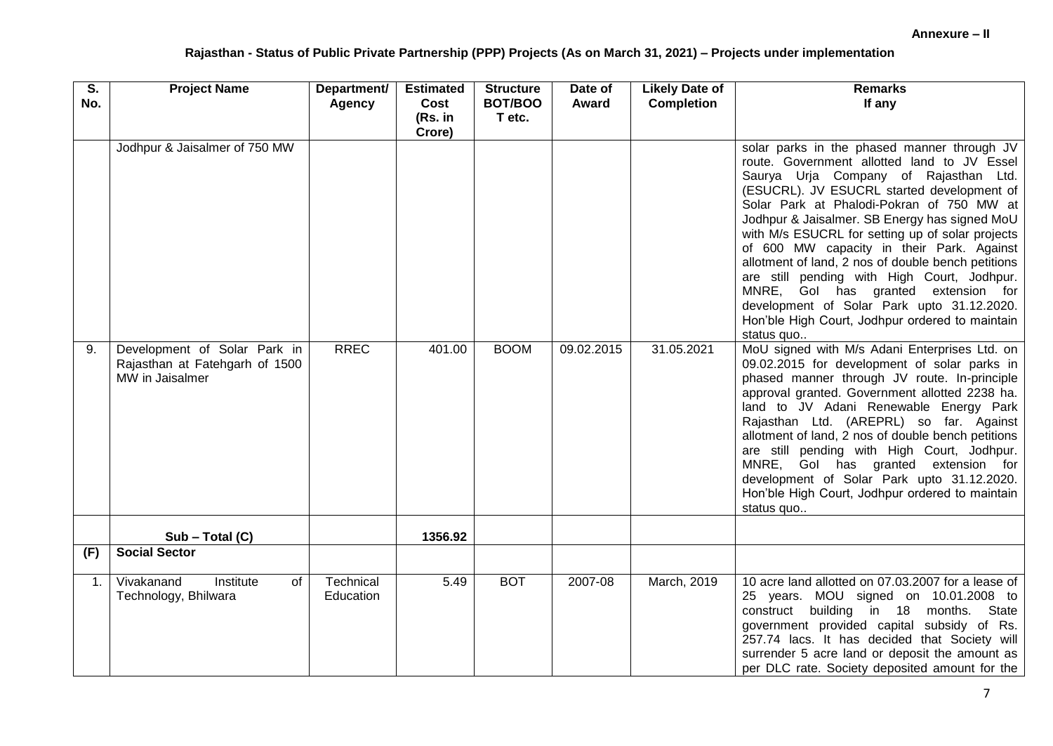| $\overline{\mathsf{s}}$ .<br>No. | <b>Project Name</b>                                                               | Department/<br><b>Agency</b> | <b>Estimated</b><br>Cost | <b>Structure</b><br>BOT/BOO | Date of<br>Award | <b>Likely Date of</b><br><b>Completion</b> | <b>Remarks</b><br>If any                                                                                                                                                                                                                                                                                                                                                                                                                                                                                                                                                                                                                    |
|----------------------------------|-----------------------------------------------------------------------------------|------------------------------|--------------------------|-----------------------------|------------------|--------------------------------------------|---------------------------------------------------------------------------------------------------------------------------------------------------------------------------------------------------------------------------------------------------------------------------------------------------------------------------------------------------------------------------------------------------------------------------------------------------------------------------------------------------------------------------------------------------------------------------------------------------------------------------------------------|
|                                  |                                                                                   |                              | (Rs. in<br>Crore)        | T etc.                      |                  |                                            |                                                                                                                                                                                                                                                                                                                                                                                                                                                                                                                                                                                                                                             |
|                                  | Jodhpur & Jaisalmer of 750 MW                                                     |                              |                          |                             |                  |                                            | solar parks in the phased manner through JV<br>route. Government allotted land to JV Essel<br>Saurya Urja Company of Rajasthan Ltd.<br>(ESUCRL). JV ESUCRL started development of<br>Solar Park at Phalodi-Pokran of 750 MW at<br>Jodhpur & Jaisalmer. SB Energy has signed MoU<br>with M/s ESUCRL for setting up of solar projects<br>of 600 MW capacity in their Park. Against<br>allotment of land, 2 nos of double bench petitions<br>are still pending with High Court, Jodhpur.<br>MNRE, Gol has granted extension for<br>development of Solar Park upto 31.12.2020.<br>Hon'ble High Court, Jodhpur ordered to maintain<br>status quo |
| 9.                               | Development of Solar Park in<br>Rajasthan at Fatehgarh of 1500<br>MW in Jaisalmer | <b>RREC</b>                  | 401.00                   | <b>BOOM</b>                 | 09.02.2015       | 31.05.2021                                 | MoU signed with M/s Adani Enterprises Ltd. on<br>09.02.2015 for development of solar parks in<br>phased manner through JV route. In-principle<br>approval granted. Government allotted 2238 ha.<br>land to JV Adani Renewable Energy Park<br>Rajasthan Ltd. (AREPRL) so far. Against<br>allotment of land, 2 nos of double bench petitions<br>are still pending with High Court, Jodhpur.<br>MNRE, Gol has granted extension for<br>development of Solar Park upto 31.12.2020.<br>Hon'ble High Court, Jodhpur ordered to maintain<br>status quo                                                                                             |
|                                  | $Sub - Total (C)$                                                                 |                              | 1356.92                  |                             |                  |                                            |                                                                                                                                                                                                                                                                                                                                                                                                                                                                                                                                                                                                                                             |
| (F)                              | <b>Social Sector</b>                                                              |                              |                          |                             |                  |                                            |                                                                                                                                                                                                                                                                                                                                                                                                                                                                                                                                                                                                                                             |
| $\mathbf{1}$ .                   | Vivakanand<br>Institute<br>of<br>Technology, Bhilwara                             | Technical<br>Education       | 5.49                     | <b>BOT</b>                  | 2007-08          | March, 2019                                | 10 acre land allotted on 07.03.2007 for a lease of<br>25 years. MOU signed on 10.01.2008 to<br>building in 18 months. State<br>construct<br>government provided capital subsidy of Rs.<br>257.74 lacs. It has decided that Society will<br>surrender 5 acre land or deposit the amount as<br>per DLC rate. Society deposited amount for the                                                                                                                                                                                                                                                                                                 |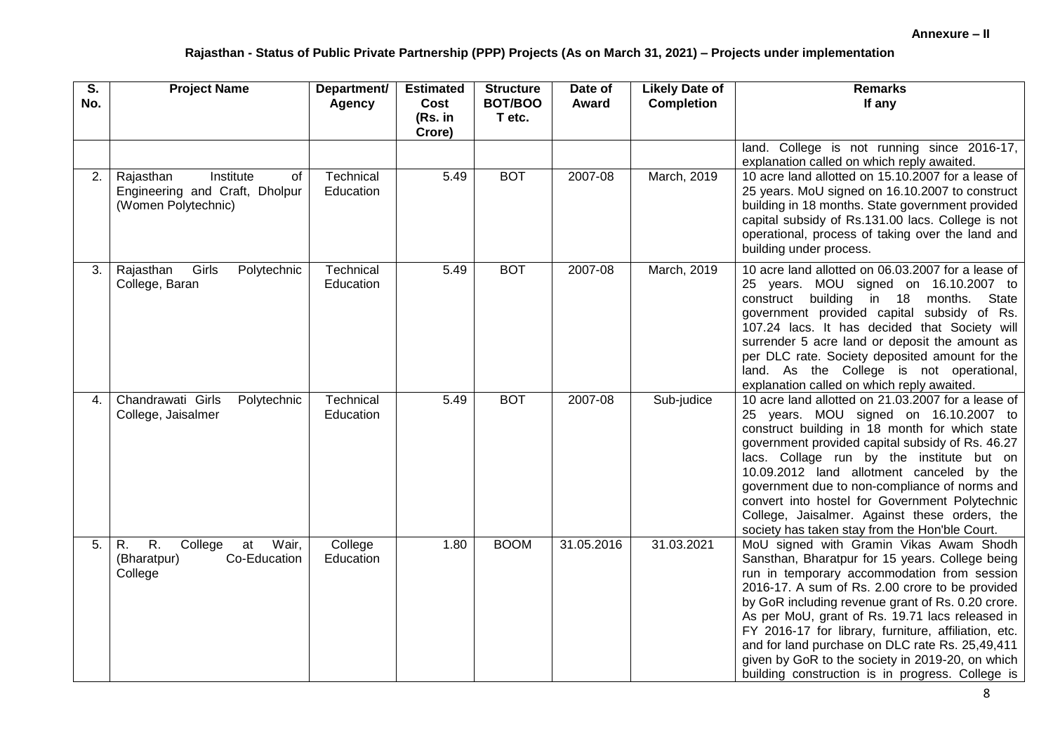| $\overline{\mathsf{s}}$ .<br>No. | <b>Project Name</b>                                                                        | Department/<br><b>Agency</b> | <b>Estimated</b><br>Cost<br>(Rs. in<br>Crore) | <b>Structure</b><br>BOT/BOO<br>T etc. | Date of<br>Award | <b>Likely Date of</b><br><b>Completion</b> | <b>Remarks</b><br>If any                                                                                                                                                                                                                                                                                                                                                                                                                                                                                                |
|----------------------------------|--------------------------------------------------------------------------------------------|------------------------------|-----------------------------------------------|---------------------------------------|------------------|--------------------------------------------|-------------------------------------------------------------------------------------------------------------------------------------------------------------------------------------------------------------------------------------------------------------------------------------------------------------------------------------------------------------------------------------------------------------------------------------------------------------------------------------------------------------------------|
|                                  |                                                                                            |                              |                                               |                                       |                  |                                            | land. College is not running since 2016-17,<br>explanation called on which reply awaited.                                                                                                                                                                                                                                                                                                                                                                                                                               |
| 2.                               | Institute<br>Rajasthan<br>οf<br>Engineering and Craft, Dholpur<br>(Women Polytechnic)      | Technical<br>Education       | 5.49                                          | <b>BOT</b>                            | 2007-08          | March, 2019                                | 10 acre land allotted on 15.10.2007 for a lease of<br>25 years. MoU signed on 16.10.2007 to construct<br>building in 18 months. State government provided<br>capital subsidy of Rs.131.00 lacs. College is not<br>operational, process of taking over the land and<br>building under process.                                                                                                                                                                                                                           |
| 3.                               | Rajasthan<br>Girls<br>Polytechnic<br>College, Baran                                        | Technical<br>Education       | 5.49                                          | <b>BOT</b>                            | 2007-08          | March, 2019                                | 10 acre land allotted on 06.03.2007 for a lease of<br>25 years. MOU signed on 16.10.2007 to<br>building in 18 months. State<br>construct<br>government provided capital subsidy of Rs.<br>107.24 lacs. It has decided that Society will<br>surrender 5 acre land or deposit the amount as<br>per DLC rate. Society deposited amount for the<br>land. As the College is not operational,<br>explanation called on which reply awaited.                                                                                   |
| 4.                               | Chandrawati Girls<br>Polytechnic<br>College, Jaisalmer                                     | Technical<br>Education       | 5.49                                          | <b>BOT</b>                            | 2007-08          | Sub-judice                                 | 10 acre land allotted on 21.03.2007 for a lease of<br>25 years. MOU signed on 16.10.2007 to<br>construct building in 18 month for which state<br>government provided capital subsidy of Rs. 46.27<br>lacs. Collage run by the institute but on<br>10.09.2012 land allotment canceled by the<br>government due to non-compliance of norms and<br>convert into hostel for Government Polytechnic<br>College, Jaisalmer. Against these orders, the<br>society has taken stay from the Hon'ble Court.                       |
| 5.                               | $\overline{R}$ .<br>Wair,<br>R.<br>College<br>at<br>(Bharatpur)<br>Co-Education<br>College | College<br>Education         | 1.80                                          | <b>BOOM</b>                           | 31.05.2016       | 31.03.2021                                 | MoU signed with Gramin Vikas Awam Shodh<br>Sansthan, Bharatpur for 15 years. College being<br>run in temporary accommodation from session<br>2016-17. A sum of Rs. 2.00 crore to be provided<br>by GoR including revenue grant of Rs. 0.20 crore.<br>As per MoU, grant of Rs. 19.71 lacs released in<br>FY 2016-17 for library, furniture, affiliation, etc.<br>and for land purchase on DLC rate Rs. 25,49,411<br>given by GoR to the society in 2019-20, on which<br>building construction is in progress. College is |